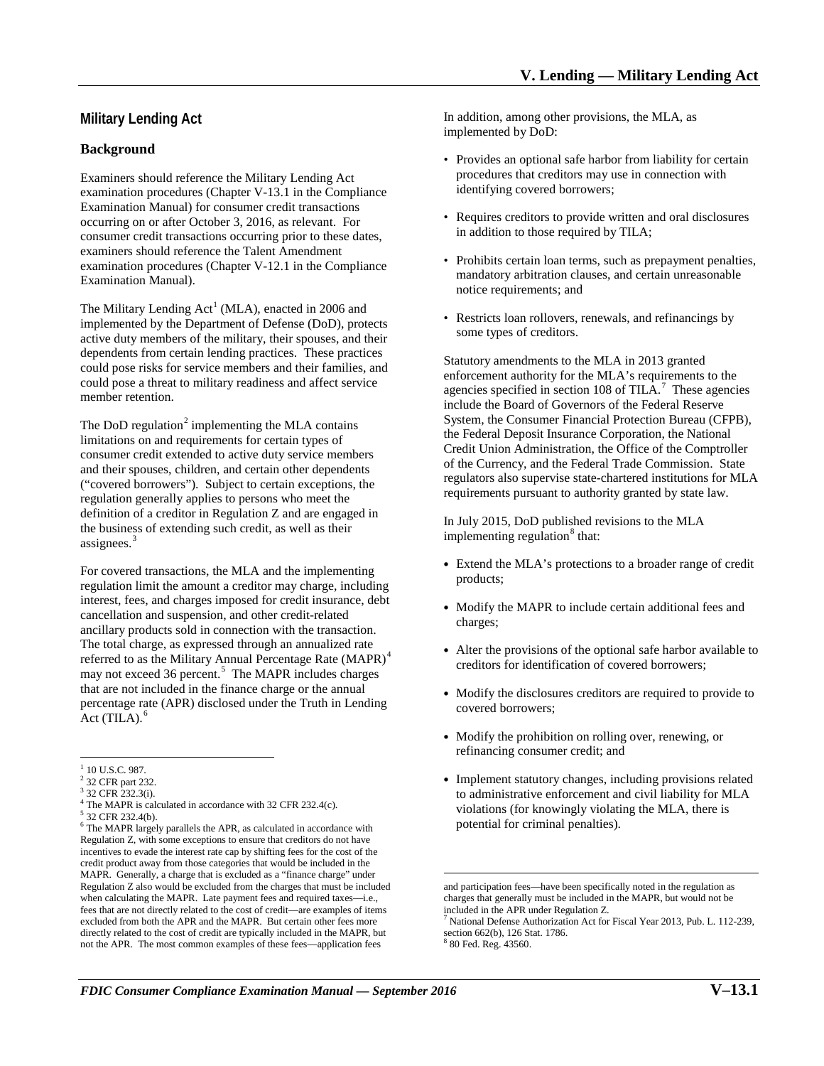# **Military Lending Act**

### **Background**

 occurring on or after October 3, 2016, as relevant. For Examiners should reference the Military Lending Act examination procedures (Chapter V-13.1 in the Compliance Examination Manual) for consumer credit transactions consumer credit transactions occurring prior to these dates, examiners should reference the Talent Amendment examination procedures (Chapter V-12.1 in the Compliance Examination Manual).

 dependents from certain lending practices. These practices could pose risks for service members and their families, and The Military Lending  $Act^1(MLA)$ , enacted in 2006 and implemented by the Department of Defense (DoD), protects active duty members of the military, their spouses, and their could pose a threat to military readiness and affect service member retention.

The DoD regulation $2$  implementing the MLA contains ("covered borrowers"). Subject to certain exceptions, the regulation generally applies to persons who meet the limitations on and requirements for certain types of consumer credit extended to active duty service members and their spouses, children, and certain other dependents definition of a creditor in Regulation Z and are engaged in the business of extending such credit, as well as their assignees.<sup>3</sup>

may not exceed 36 percent.<sup>5</sup> The MAPR includes charges percentage rate (APR) disclosed under the Truth in Lending For covered transactions, the MLA and the implementing regulation limit the amount a creditor may charge, including interest, fees, and charges imposed for credit insurance, debt cancellation and suspension, and other credit-related ancillary products sold in connection with the transaction. The total charge, as expressed through an annualized rate referred to as the Military Annual Percentage Rate (MAPR)<sup>4</sup> that are not included in the finance charge or the annual  $Act$  (TILA). $<sup>6</sup>$ </sup>

 $\overline{a}$ 

In addition, among other provisions, the MLA, as implemented by DoD:

- • Provides an optional safe harbor from liability for certain procedures that creditors may use in connection with identifying covered borrowers;
- Requires creditors to provide written and oral disclosures in addition to those required by TILA;
- notice requirements; and • Prohibits certain loan terms, such as prepayment penalties, mandatory arbitration clauses, and certain unreasonable
- Restricts loan rollovers, renewals, and refinancings by some types of creditors.

agencies specified in section 108 of TILA.<sup>7</sup> These agencies of the Currency, and the Federal Trade Commission. State regulators also supervise state-chartered institutions for MLA Statutory amendments to the MLA in 2013 granted enforcement authority for the MLA's requirements to the include the Board of Governors of the Federal Reserve System, the Consumer Financial Protection Bureau (CFPB), the Federal Deposit Insurance Corporation, the National Credit Union Administration, the Office of the Comptroller requirements pursuant to authority granted by state law.

In July 2015, DoD published revisions to the MLA implementing regulation $\delta$  that:

- Extend the MLA's protections to a broader range of credit products;
- Modify the MAPR to include certain additional fees and charges;
- • Alter the provisions of the optional safe harbor available to creditors for identification of covered borrowers;
- Modify the disclosures creditors are required to provide to covered borrowers;
- Modify the prohibition on rolling over, renewing, or refinancing consumer credit; and
- Implement statutory changes, including provisions related to administrative enforcement and civil liability for MLA violations (for knowingly violating the MLA, there is potential for criminal penalties).

 $\overline{a}$ 

 $1$  10 U.S.C. 987.

<span id="page-0-1"></span><span id="page-0-0"></span><sup>&</sup>lt;sup>2</sup> 32 CFR part 232.

 $4$  The MAPR is calculated in accordance with 32 CFR 232.4(c).  $3$  32 CFR 232.3(i).

<span id="page-0-7"></span><span id="page-0-6"></span><span id="page-0-5"></span><span id="page-0-4"></span><span id="page-0-3"></span><span id="page-0-2"></span> $6$  The MAPR largely parallels the APR, as calculated in accordance with Regulation Z, with some exceptions to ensure that creditors do not have incentives to evade the interest rate cap by shifting fees for the cost of the credit product away from those categories that would be included in the MAPR. Generally, a charge that is excluded as a "finance charge" under Regulation Z also would be excluded from the charges that must be included when calculating the MAPR. Late payment fees and required taxes—i.e., fees that are not directly related to the cost of credit—are examples of items directly related to the cost of credit are typically included in the MAPR, but 32 CFR 232.4(b). excluded from both the APR and the MAPR. But certain other fees more not the APR. The most common examples of these fees—application fees

 charges that generally must be included in the MAPR, but would not be included in the APR under Regulation Z. and participation fees—have been specifically noted in the regulation as

 section 662(b), 126 Stat. 1786. 7 National Defense Authorization Act for Fiscal Year 2013, Pub. L. 112-239,

<sup>80</sup> Fed. Reg. 43560.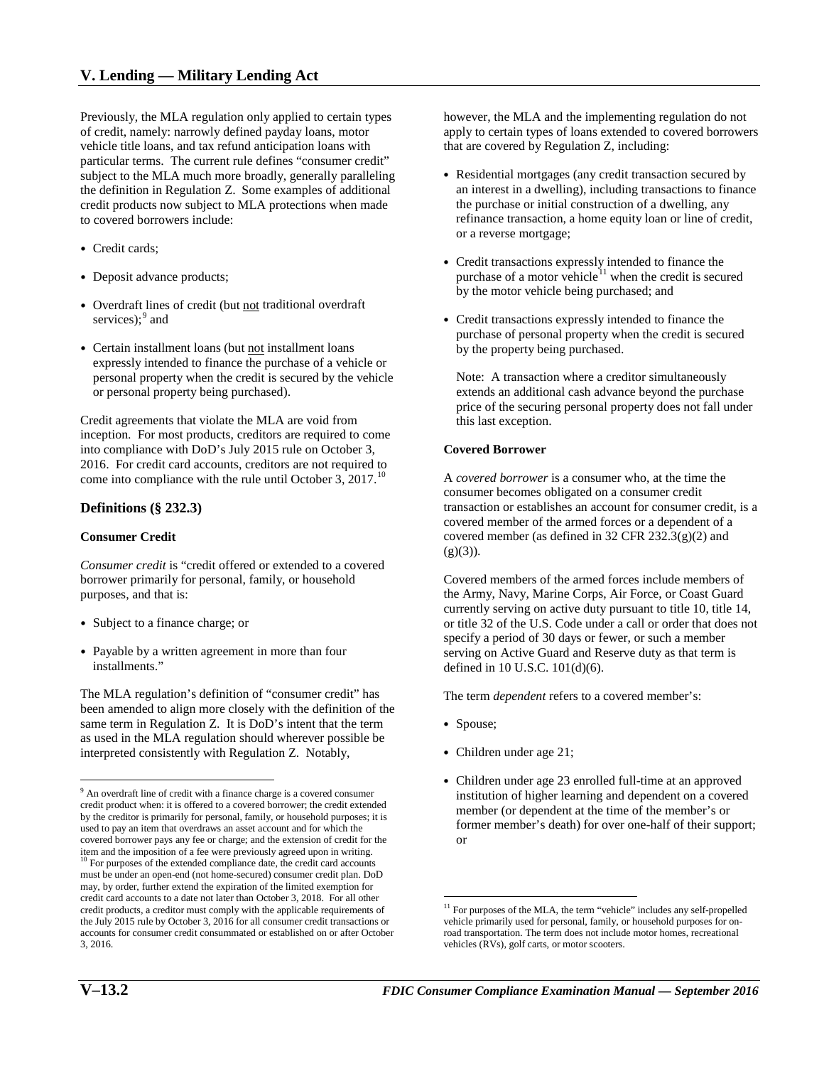of credit, namely: narrowly defined payday loans, motor particular terms. The current rule defines "consumer credit" the definition in Regulation Z. Some examples of additional to covered borrowers include: Previously, the MLA regulation only applied to certain types vehicle title loans, and tax refund anticipation loans with subject to the MLA much more broadly, generally paralleling credit products now subject to MLA protections when made

- Credit cards;
- Deposit advance products;
- services); <sup>[9](#page-1-0)</sup> and • Overdraft lines of credit (but not traditional overdraft
- Certain installment loans (but not installment loans expressly intended to finance the purchase of a vehicle or personal property when the credit is secured by the vehicle or personal property being purchased).

 inception. For most products, creditors are required to come Credit agreements that violate the MLA are void from into compliance with DoD's July 2015 rule on October 3, 2016. For credit card accounts, creditors are not required to come into compliance with the rule until October 3,  $2017$ .<sup>10</sup>

### **Definitions (§ 232.3)**

### **Consumer Credit**

*Consumer credit* is "credit offered or extended to a covered borrower primarily for personal, family, or household purposes, and that is:

- Subject to a finance charge; or
- • Payable by a written agreement in more than four installments."

 The MLA regulation's definition of "consumer credit" has been amended to align more closely with the definition of the as used in the MLA regulation should wherever possible be interpreted consistently with Regulation Z. Notably, same term in Regulation Z. It is DoD's intent that the term

 however, the MLA and the implementing regulation do not apply to certain types of loans extended to covered borrowers that are covered by Regulation Z, including:

- an interest in a dwelling), including transactions to finance • Residential mortgages (any credit transaction secured by the purchase or initial construction of a dwelling, any refinance transaction, a home equity loan or line of credit, or a reverse mortgage;
- purchase of a motor vehicle $1$ <sup>[11](#page-1-2)</sup> when the credit is secured • Credit transactions expressly intended to finance the by the motor vehicle being purchased; and
- purchase of personal property when the credit is secured • Credit transactions expressly intended to finance the by the property being purchased.

 price of the securing personal property does not fall under this last exception. Note: A transaction where a creditor simultaneously extends an additional cash advance beyond the purchase

#### **Covered Borrower**

 covered member of the armed forces or a dependent of a A *covered borrower* is a consumer who, at the time the consumer becomes obligated on a consumer credit transaction or establishes an account for consumer credit, is a covered member (as defined in 32 CFR 232.3(g)(2) and  $(g)(3)$ ).

 Covered members of the armed forces include members of currently serving on active duty pursuant to title 10, title 14, or title 32 of the U.S. Code under a call or order that does not defined in 10 U.S.C. 101(d)(6). the Army, Navy, Marine Corps, Air Force, or Coast Guard specify a period of 30 days or fewer, or such a member serving on Active Guard and Reserve duty as that term is

The term *dependent* refers to a covered member's:

• Spouse;

 $\overline{a}$ 

- Children under age 21;
- Children under age 23 enrolled full-time at an approved institution of higher learning and dependent on a covered member (or dependent at the time of the member's or former member's death) for over one-half of their support; or

 $\overline{a}$ 

<span id="page-1-2"></span><span id="page-1-1"></span><span id="page-1-0"></span> used to pay an item that overdraws an asset account and for which the credit card accounts to a date not later than October 3, 2018. For all other credit products, a creditor must comply with the applicable requirements of <sup>9</sup> An overdraft line of credit with a finance charge is a covered consumer credit product when: it is offered to a covered borrower; the credit extended by the creditor is primarily for personal, family, or household purposes; it is covered borrower pays any fee or charge; and the extension of credit for the item and the imposition of a fee were previously agreed upon in writing. 10 For purposes of the extended compliance date, the credit card accounts must be under an open-end (not home-secured) consumer credit plan. DoD may, by order, further extend the expiration of the limited exemption for the July 2015 rule by October 3, 2016 for all consumer credit transactions or accounts for consumer credit consummated or established on or after October 3, 2016.

 vehicles (RVs), golf carts, or motor scooters. <sup>11</sup> For purposes of the MLA, the term "vehicle" includes any self-propelled vehicle primarily used for personal, family, or household purposes for onroad transportation. The term does not include motor homes, recreational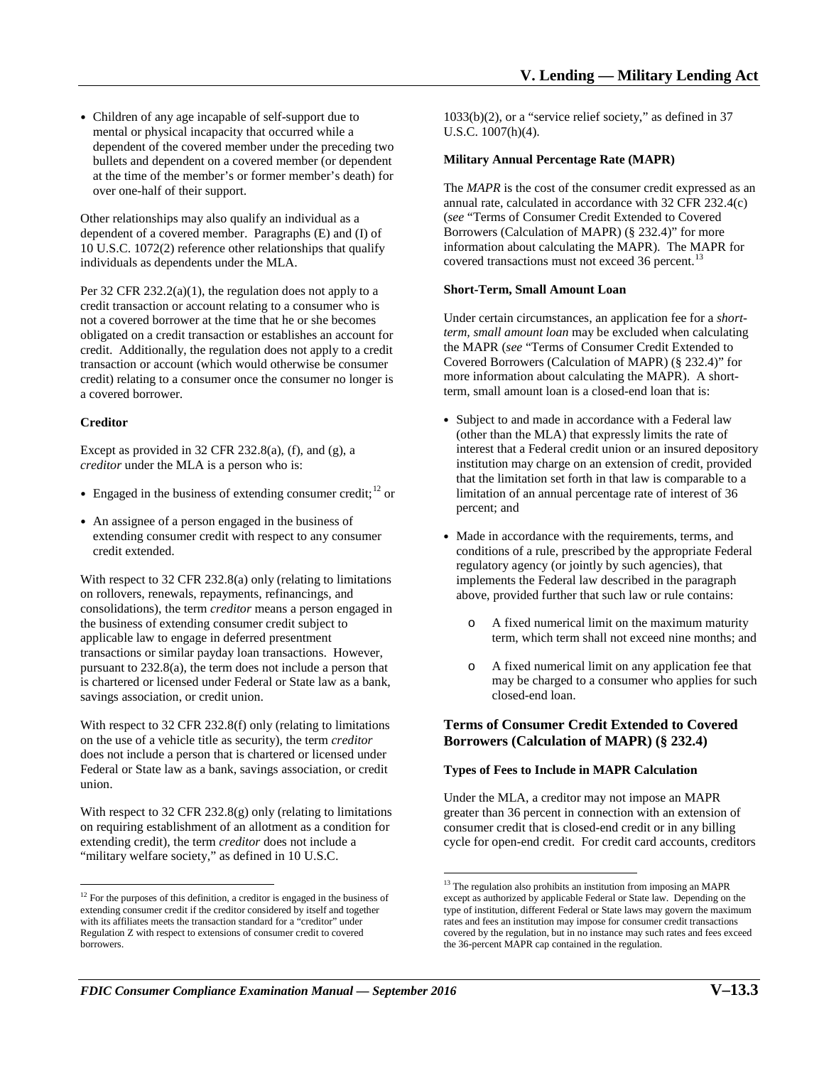• Children of any age incapable of self-support due to mental or physical incapacity that occurred while a dependent of the covered member under the preceding two bullets and dependent on a covered member (or dependent at the time of the member's or former member's death) for over one-half of their support.

 dependent of a covered member. Paragraphs (E) and (I) of Other relationships may also qualify an individual as a 10 U.S.C. 1072(2) reference other relationships that qualify individuals as dependents under the MLA.

 obligated on a credit transaction or establishes an account for Per 32 CFR 232.2(a)(1), the regulation does not apply to a credit transaction or account relating to a consumer who is not a covered borrower at the time that he or she becomes credit. Additionally, the regulation does not apply to a credit transaction or account (which would otherwise be consumer credit) relating to a consumer once the consumer no longer is a covered borrower.

#### **Creditor**

Except as provided in  $32$  CFR  $232.8(a)$ , (f), and (g), a *creditor* under the MLA is a person who is:

- Engaged in the business of extending consumer credit;<sup>[12](#page-2-0)</sup> or
- An assignee of a person engaged in the business of extending consumer credit with respect to any consumer credit extended.

 With respect to 32 CFR 232.8(a) only (relating to limitations transactions or similar payday loan transactions. However, pursuant to 232.8(a), the term does not include a person that savings association, or credit union. on rollovers, renewals, repayments, refinancings, and consolidations), the term *creditor* means a person engaged in the business of extending consumer credit subject to applicable law to engage in deferred presentment is chartered or licensed under Federal or State law as a bank,

savings association, or credit union.<br>With respect to 32 CFR 232.8(f) only (relating to limitations on the use of a vehicle title as security), the term *creditor*  Federal or State law as a bank, savings association, or credit does not include a person that is chartered or licensed under union.

With respect to 32 CFR 232.8(g) only (relating to limitations on requiring establishment of an allotment as a condition for extending credit), the term *creditor* does not include a "military welfare society," as defined in 10 U.S.C.

 U.S.C. 1007(h)(4). 1033(b)(2), or a "service relief society," as defined in 37

#### **Military Annual Percentage Rate (MAPR)**

 Borrowers (Calculation of MAPR) (§ 232.4)" for more information about calculating the MAPR). The MAPR for The *MAPR* is the cost of the consumer credit expressed as an annual rate, calculated in accordance with 32 CFR 232.4(c) (*see* "Terms of Consumer Credit Extended to Covered covered transactions must not exceed 36 [percent.](https://percent.13)<sup>13</sup>

#### **Short-Term, Small Amount Loan**

 Covered Borrowers (Calculation of MAPR) (§ 232.4)" for more information about calculating the MAPR). A short-Under certain circumstances, an application fee for a *shortterm, small amount loan* may be excluded when calculating the MAPR (*see* "Terms of Consumer Credit Extended to term, small amount loan is a closed-end loan that is:

- Subject to and made in accordance with a Federal law (other than the MLA) that expressly limits the rate of interest that a Federal credit union or an insured depository institution may charge on an extension of credit, provided that the limitation set forth in that law is comparable to a limitation of an annual percentage rate of interest of 36 percent; and
- conditions of a rule, prescribed by the appropriate Federal • Made in accordance with the requirements, terms, and regulatory agency (or jointly by such agencies), that implements the Federal law described in the paragraph above, provided further that such law or rule contains:
	- o A fixed numerical limit on the maximum maturity term, which term shall not exceed nine months; and
	- o A fixed numerical limit on any application fee that may be charged to a consumer who applies for such closed-end loan.

### **Borrowers (Calculation of MAPR) (§ 232.4) Terms of Consumer Credit Extended to Covered**

#### **Types of Fees to Include in MAPR Calculation**

 $\overline{a}$ 

 cycle for open-end credit. For credit card accounts, creditors Under the MLA, a creditor may not impose an MAPR greater than 36 percent in connection with an extension of consumer credit that is closed-end credit or in any billing

<span id="page-2-1"></span><span id="page-2-0"></span> $\overline{a}$  with its affiliates meets the transaction standard for a "creditor" under  $12$  For the purposes of this definition, a creditor is engaged in the business of extending consumer credit if the creditor considered by itself and together Regulation Z with respect to extensions of consumer credit to covered **borrowers** 

 rates and fees an institution may impose for consumer credit transactions covered by the regulation, but in no instance may such rates and fees exceed <sup>13</sup> The regulation also prohibits an institution from imposing an MAPR except as authorized by applicable Federal or State law. Depending on the type of institution, different Federal or State laws may govern the maximum the 36-percent MAPR cap contained in the regulation.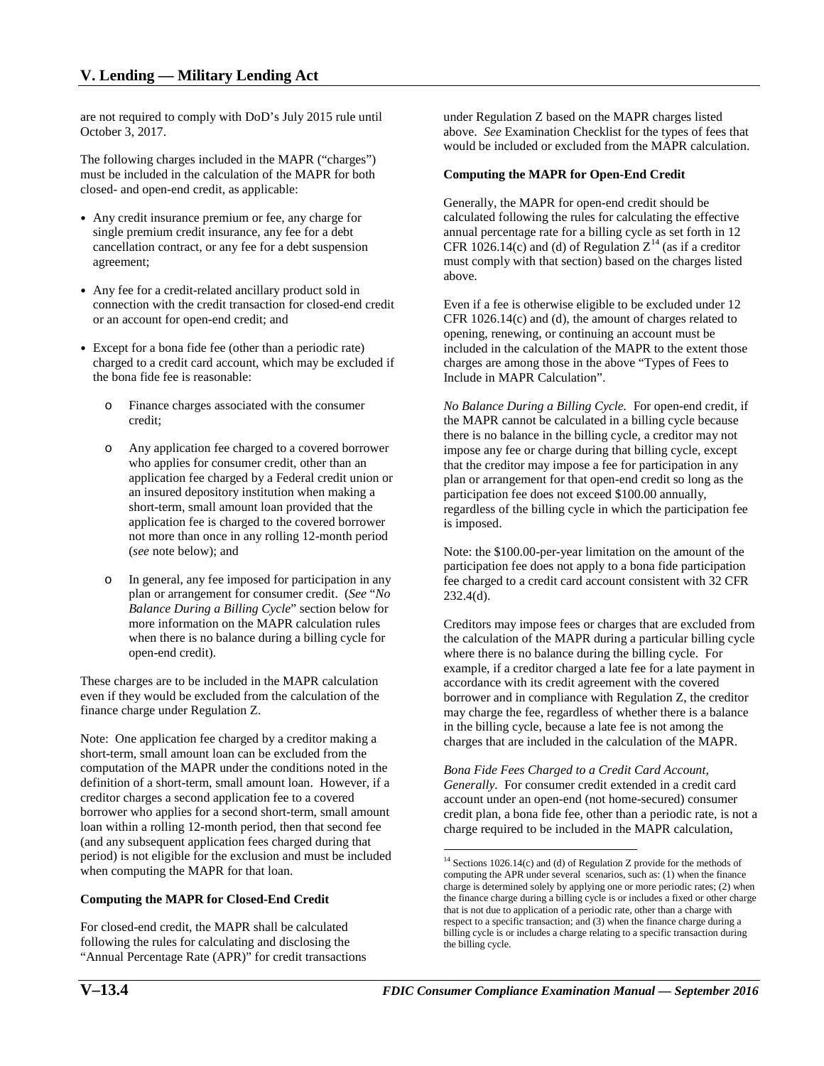are not required to comply with DoD's July 2015 rule until October 3, 2017.

October 3, 2017.<br>The following charges included in the MAPR ("charges") must be included in the calculation of the MAPR for both closed- and open-end credit, as applicable:

- Any credit insurance premium or fee, any charge for single premium credit insurance, any fee for a debt cancellation contract, or any fee for a debt suspension agreement;
- Any fee for a credit-related ancillary product sold in connection with the credit transaction for closed-end credit or an account for open-end credit; and
- Except for a bona fide fee (other than a periodic rate) charged to a credit card account, which may be excluded if the bona fide fee is reasonable:
	- o Finance charges associated with the consumer credit;
	- o Any application fee charged to a covered borrower who applies for consumer credit, other than an application fee charged by a Federal credit union or an insured depository institution when making a short-term, small amount loan provided that the application fee is charged to the covered borrower not more than once in any rolling 12-month period (*see* note below); and
	- plan or arrangement for consumer credit. (*See* "*No*  open-end credit). o In general, any fee imposed for participation in any *Balance During a Billing Cycle*" section below for more information on the MAPR calculation rules when there is no balance during a billing cycle for

These charges are to be included in the MAPR calculation even if they would be excluded from the calculation of the finance charge under Regulation Z.

 computation of the MAPR under the conditions noted in the Note: One application fee charged by a creditor making a short-term, small amount loan can be excluded from the definition of a short-term, small amount loan. However, if a creditor charges a second application fee to a covered borrower who applies for a second short-term, small amount loan within a rolling 12-month period, then that second fee (and any subsequent application fees charged during that period) is not eligible for the exclusion and must be included when computing the MAPR for that loan.

### <span id="page-3-0"></span> **Computing the MAPR for Closed-End Credit**

For closed-end credit, the MAPR shall be calculated following the rules for calculating and disclosing the "Annual Percentage Rate (APR)" for credit transactions

 above. *See* Examination Checklist for the types of fees that would be included or excluded from the MAPR calculation. under Regulation Z based on the MAPR charges listed

### **Computing the MAPR for Open-End Credit**

Generally, the MAPR for open-end credit should be calculated following the rules for calculating the effective annual percentage rate for a billing cycle as set forth in 12 CFR 1026.[14](#page-3-0)(c) and (d) of Regulation  $Z^{14}$  (as if a creditor must comply with that section) based on the charges listed above.

 opening, renewing, or continuing an account must be charges are among those in the above "Types of Fees to Even if a fee is otherwise eligible to be excluded under 12 CFR 1026.14(c) and (d), the amount of charges related to included in the calculation of the MAPR to the extent those Include in MAPR Calculation".

 *No Balance During a Billing Cycle.* For open-end credit, if is imposed. the MAPR cannot be calculated in a billing cycle because there is no balance in the billing cycle, a creditor may not impose any fee or charge during that billing cycle, except that the creditor may impose a fee for participation in any plan or arrangement for that open-end credit so long as the participation fee does not exceed \$100.00 annually, regardless of the billing cycle in which the participation fee

is imposed.<br>Note: the \$100.00-per-year limitation on the amount of the participation fee does not apply to a bona fide participation fee charged to a credit card account consistent with 32 CFR 232.4(d).

 where there is no balance during the billing cycle. For Creditors may impose fees or charges that are excluded from the calculation of the MAPR during a particular billing cycle example, if a creditor charged a late fee for a late payment in accordance with its credit agreement with the covered borrower and in compliance with Regulation Z, the creditor may charge the fee, regardless of whether there is a balance in the billing cycle, because a late fee is not among the charges that are included in the calculation of the MAPR.

 *Generally.* For consumer credit extended in a credit card *Bona Fide Fees Charged to a Credit Card Account,*  account under an open-end (not home-secured) consumer credit plan, a bona fide fee, other than a periodic rate, is not a charge required to be included in the MAPR calculation,

 $\overline{a}$ 

 computing the APR under several scenarios, such as: (1) when the finance charge is determined solely by applying one or more periodic rates; (2) when the finance charge during a billing cycle is or includes a fixed or other charge that is not due to application of a periodic rate, other than a charge with respect to a specific transaction; and (3) when the finance charge during a billing cycle is or includes a charge relating to a specific transaction during  $14$  Sections 1026.14(c) and (d) of Regulation Z provide for the methods of the billing cycle.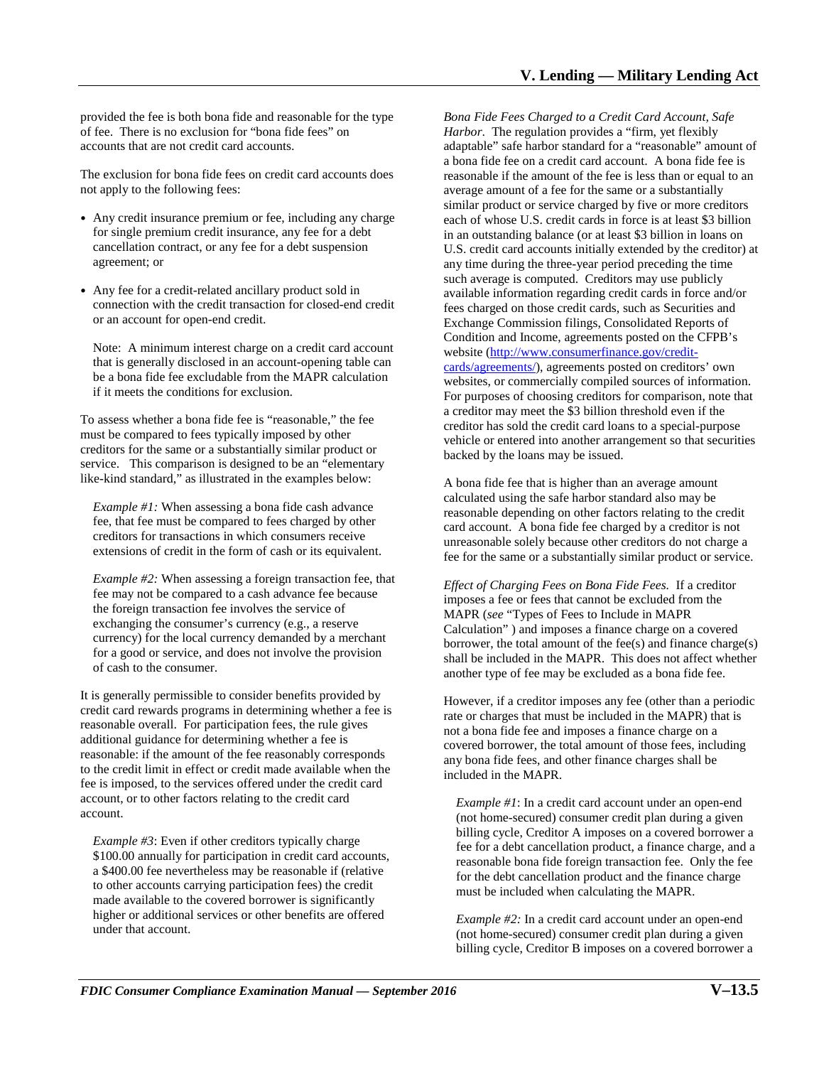provided the fee is both bona fide and reasonable for the type of fee. There is no exclusion for "bona fide fees" on accounts that are not credit card accounts.

 The exclusion for bona fide fees on credit card accounts does not apply to the following fees:

- Any credit insurance premium or fee, including any charge for single premium credit insurance, any fee for a debt cancellation contract, or any fee for a debt suspension agreement; or
- Any fee for a credit-related ancillary product sold in connection with the credit transaction for closed-end credit or an account for open-end credit.

Note: A minimum interest charge on a credit card account that is generally disclosed in an account-opening table can be a bona fide fee excludable from the MAPR calculation if it meets the conditions for exclusion.

 service. This comparison is designed to be an "elementary To assess whether a bona fide fee is "reasonable," the fee must be compared to fees typically imposed by other creditors for the same or a substantially similar product or like-kind standard," as illustrated in the examples below:

 extensions of credit in the form of cash or its equivalent. *Example #1:* When assessing a bona fide cash advance fee, that fee must be compared to fees charged by other creditors for transactions in which consumers receive

 *Example #2:* When assessing a foreign transaction fee, that for a good or service, and does not involve the provision fee may not be compared to a cash advance fee because the foreign transaction fee involves the service of exchanging the consumer's currency (e.g., a reserve currency) for the local currency demanded by a merchant of cash to the consumer.

 It is generally permissible to consider benefits provided by reasonable overall. For participation fees, the rule gives account, or to other factors relating to the credit card account. credit card rewards programs in determining whether a fee is additional guidance for determining whether a fee is reasonable: if the amount of the fee reasonably corresponds to the credit limit in effect or credit made available when the fee is imposed, to the services offered under the credit card

under that account. *Example #3*: Even if other creditors typically charge \$100.00 annually for participation in credit card accounts, a \$400.00 fee nevertheless may be reasonable if (relative to other accounts carrying participation fees) the credit made available to the covered borrower is significantly higher or additional services or other benefits are offered

Bona Fide Fees Charged to a Credit Card Account, Safe adaptable" safe harbor standard for a "reasonable" amount of Exchange Commission filings, Consolidated Reports of websites, or commercially compiled sources of information. For purposes of choosing creditors for comparison, note that which the k those hand the active charge is the consent of the charge of the consent of the card Account Safe Consent of the consent of the consent of the consent of the consent of the consent of the consent of the consen *Harbor*. The regulation provides a "firm, yet flexibly a bona fide fee on a credit card account. A bona fide fee is reasonable if the amount of the fee is less than or equal to an average amount of a fee for the same or a substantially similar product or service charged by five or more creditors each of whose U.S. credit cards in force is at least \$3 billion in an outstanding balance (or at least \$3 billion in loans on U.S. credit card accounts initially extended by the creditor) at any time during the three-year period preceding the time such average is computed. Creditors may use publicly available information regarding credit cards in force and/or fees charged on those credit cards, such as Securities and Condition and Income, agreements posted on the CFPB's website [\(http://www.consumerfinance.gov/credit](http://www.consumerfinance.gov/credit-cards/agreements/)[cards/agreements/\)](http://www.consumerfinance.gov/credit-cards/agreements/), agreements posted on creditors' own a creditor may meet the \$3 billion threshold even if the creditor has sold the credit card loans to a special-purpose vehicle or entered into another arrangement so that securities backed by the loans may be issued.

 calculated using the safe harbor standard also may be card account. A bona fide fee charged by a creditor is not fee for the same or a substantially similar product or service. A bona fide fee that is higher than an average amount reasonable depending on other factors relating to the credit unreasonable solely because other creditors do not charge a

 *Effect of Charging Fees on Bona Fide Fees.* If a creditor imposes a fee or fees that cannot be excluded from the another type of fee may be excluded as a bona fide fee. MAPR (*see* "Types of Fees to Include in MAPR Calculation" ) and imposes a finance charge on a covered borrower, the total amount of the fee(s) and finance charge(s) shall be included in the MAPR. This does not affect whether

 included in the MAPR. However, if a creditor imposes any fee (other than a periodic rate or charges that must be included in the MAPR) that is not a bona fide fee and imposes a finance charge on a covered borrower, the total amount of those fees, including any bona fide fees, and other finance charges shall be

*Example #1*: In a credit card account under an open-end (not home-secured) consumer credit plan during a given billing cycle, Creditor A imposes on a covered borrower a fee for a debt cancellation product, a finance charge, and a reasonable bona fide foreign transaction fee. Only the fee for the debt cancellation product and the finance charge must be included when calculating the MAPR.

*Example #2:* In a credit card account under an open-end (not home-secured) consumer credit plan during a given billing cycle, Creditor B imposes on a covered borrower a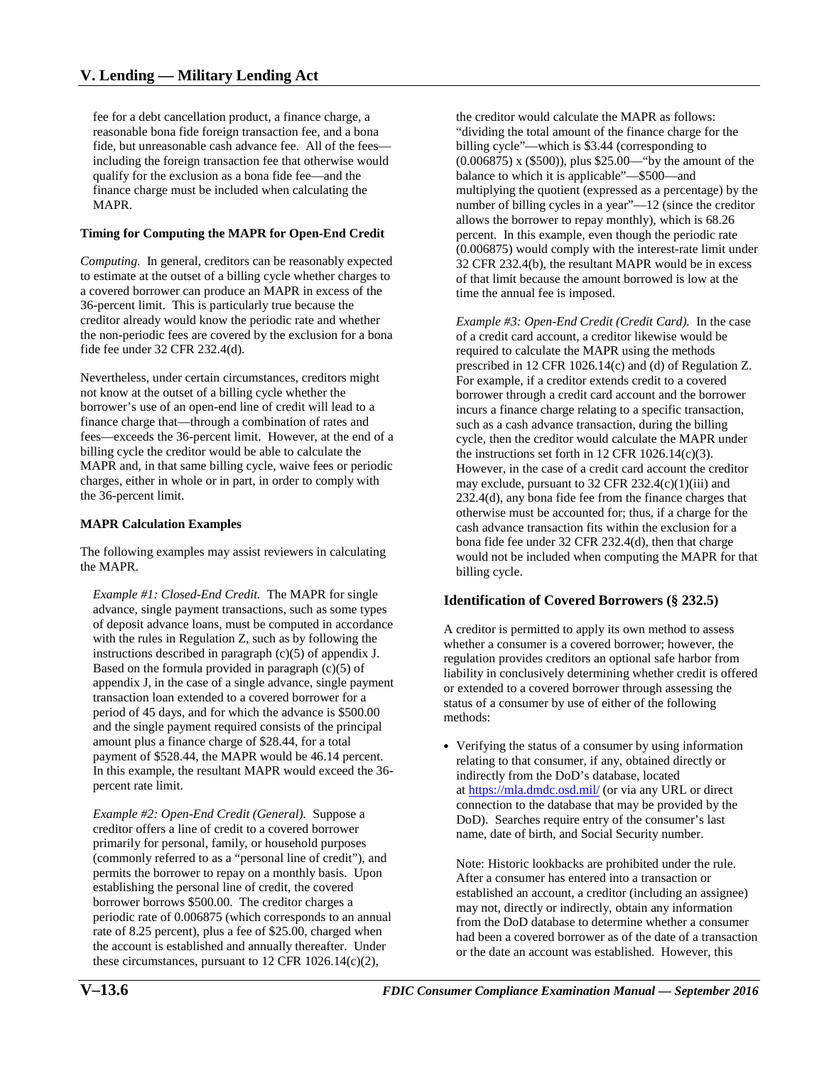reasonable bona fide foreign transaction fee, and a bona fide, but unreasonable cash advance fee. All of the fees fee for a debt cancellation product, a finance charge, a including the foreign transaction fee that otherwise would qualify for the exclusion as a bona fide fee—and the finance charge must be included when calculating the MAPR.

### **Timing for Computing the MAPR for Open-End Credit**

*Computing.* In general, creditors can be reasonably expected to estimate at the outset of a billing cycle whether charges to a covered borrower can produce an MAPR in excess of the 36-percent limit. This is particularly true because the creditor already would know the periodic rate and whether the non-periodic fees are covered by the exclusion for a bona fide fee under 32 CFR 232.4(d).

 the 36-percent limit. Nevertheless, under certain circumstances, creditors might not know at the outset of a billing cycle whether the borrower's use of an open-end line of credit will lead to a finance charge that—through a combination of rates and fees—exceeds the 36-percent limit. However, at the end of a billing cycle the creditor would be able to calculate the MAPR and, in that same billing cycle, waive fees or periodic charges, either in whole or in part, in order to comply with

### **MAPR Calculation Examples**

 the MAPR. The following examples may assist reviewers in calculating

 *Example #1: Closed-End Credit.* The MAPR for single instructions described in paragraph  $(c)(5)$  of appendix J. and the single payment required consists of the principal amount plus a finance charge of \$28.44, for a total payment of \$528.44, the MAPR would be 46.14 percent. percent rate limit. advance, single payment transactions, such as some types of deposit advance loans, must be computed in accordance with the rules in Regulation Z, such as by following the Based on the formula provided in paragraph  $(c)(5)$  of appendix J, in the case of a single advance, single payment transaction loan extended to a covered borrower for a period of 45 days, and for which the advance is \$500.00 In this example, the resultant MAPR would exceed the 36-

 *Example #2: Open-End Credit (General).* Suppose a rate of 8.25 percent), plus a fee of \$25.00, charged when creditor offers a line of credit to a covered borrower primarily for personal, family, or household purposes (commonly referred to as a "personal line of credit"), and permits the borrower to repay on a monthly basis. Upon establishing the personal line of credit, the covered borrower borrows \$500.00. The creditor charges a periodic rate of 0.006875 (which corresponds to an annual the account is established and annually thereafter. Under these circumstances, pursuant to 12 CFR 1026.14(c)(2),

 (0.006875) x (\$500)), plus \$25.00—"by the amount of the time the annual fee is imposed. the creditor would calculate the MAPR as follows: "dividing the total amount of the finance charge for the billing cycle"—which is \$3.44 (corresponding to balance to which it is applicable"—\$500—and multiplying the quotient (expressed as a percentage) by the number of billing cycles in a year"—12 (since the creditor allows the borrower to repay monthly), which is 68.26 percent. In this example, even though the periodic rate (0.006875) would comply with the interest-rate limit under 32 CFR 232.4(b), the resultant MAPR would be in excess of that limit because the amount borrowed is low at the

 prescribed in 12 CFR 1026.14(c) and (d) of Regulation Z. For example, if a creditor extends credit to a covered such as a cash advance transaction, during the billing the instructions set forth in  $12 \text{ CFR } 1026.14(c)(3)$ . bona fide fee under 32 CFR 232.4(d), then that charge billing cycle. *Example #3: Open-End Credit (Credit Card).* In the case of a credit card account, a creditor likewise would be required to calculate the MAPR using the methods borrower through a credit card account and the borrower incurs a finance charge relating to a specific transaction, cycle, then the creditor would calculate the MAPR under However, in the case of a credit card account the creditor may exclude, pursuant to  $32$  CFR  $232.4(c)(1)(iii)$  and 232.4(d), any bona fide fee from the finance charges that otherwise must be accounted for; thus, if a charge for the cash advance transaction fits within the exclusion for a would not be included when computing the MAPR for that

# **Identification of Covered Borrowers (§ 232.5)**

 regulation provides creditors an optional safe harbor from A creditor is permitted to apply its own method to assess whether a consumer is a covered borrower; however, the liability in conclusively determining whether credit is offered or extended to a covered borrower through assessing the status of a consumer by use of either of the following methods:

name, date of birth, and Social Security number. • Verifying the status of a consumer by using information relating to that consumer, if any, obtained directly or indirectly from the DoD's database, located at<https://mla.dmdc.osd.mil/>(or via any URL or direct connection to the database that may be provided by the DoD). Searches require entry of the consumer's last

 or the date an account was established. However, this name, date of birth, and Social Security number. Note: Historic lookbacks are prohibited under the rule. After a consumer has entered into a transaction or established an account, a creditor (including an assignee) may not, directly or indirectly, obtain any information from the DoD database to determine whether a consumer had been a covered borrower as of the date of a transaction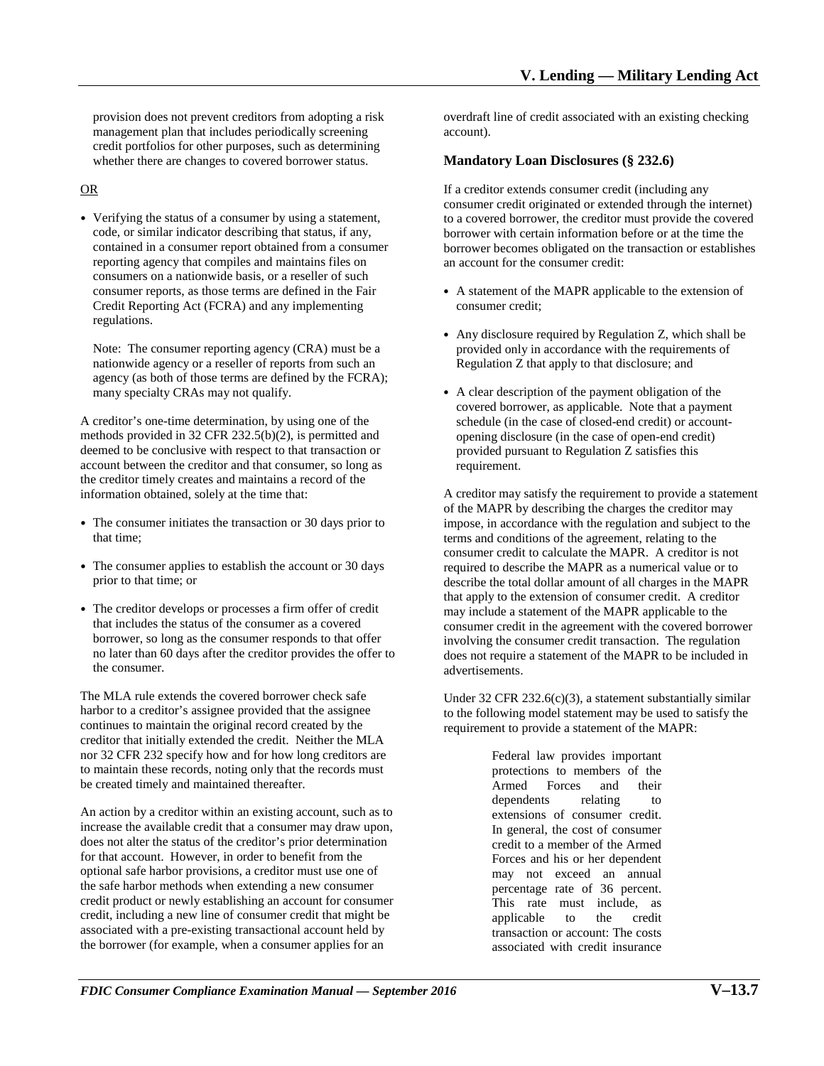provision does not prevent creditors from adopting a risk management plan that includes periodically screening credit portfolios for other purposes, such as determining whether there are changes to covered borrower status.

# OR

 reporting agency that compiles and maintains files on consumers on a nationwide basis, or a reseller of such Credit Reporting Act (FCRA) and any implementing • Verifying the status of a consumer by using a statement, code, or similar indicator describing that status, if any, contained in a consumer report obtained from a consumer consumer reports, as those terms are defined in the Fair regulations.

 Note: The consumer reporting agency (CRA) must be a agency (as both of those terms are defined by the FCRA); nationwide agency or a reseller of reports from such an many specialty CRAs may not qualify.

A creditor's one-time determination, by using one of the methods provided in 32 CFR 232.5(b)(2), is permitted and deemed to be conclusive with respect to that transaction or account between the creditor and that consumer, so long as the creditor timely creates and maintains a record of the information obtained, solely at the time that:

- The consumer initiates the transaction or 30 days prior to that time;
- • The consumer applies to establish the account or 30 days prior to that time; or
- The creditor develops or processes a firm offer of credit that includes the status of the consumer as a covered borrower, so long as the consumer responds to that offer no later than 60 days after the creditor provides the offer to the consumer.

 creditor that initially extended the credit. Neither the MLA The MLA rule extends the covered borrower check safe harbor to a creditor's assignee provided that the assignee continues to maintain the original record created by the nor 32 CFR 232 specify how and for how long creditors are to maintain these records, noting only that the records must be created timely and maintained thereafter.

 associated with a pre-existing transactional account held by the borrower (for example, when a consumer applies for an An action by a creditor within an existing account, such as to increase the available credit that a consumer may draw upon, does not alter the status of the creditor's prior determination for that account. However, in order to benefit from the optional safe harbor provisions, a creditor must use one of the safe harbor methods when extending a new consumer credit product or newly establishing an account for consumer credit, including a new line of consumer credit that might be

overdraft line of credit associated with an existing checking account).

# **Mandatory Loan Disclosures (§ 232.6)**

If a creditor extends consumer credit (including any consumer credit originated or extended through the internet) to a covered borrower, the creditor must provide the covered borrower with certain information before or at the time the borrower becomes obligated on the transaction or establishes an account for the consumer credit:

- A statement of the MAPR applicable to the extension of consumer credit;
- Any disclosure required by Regulation Z, which shall be provided only in accordance with the requirements of Regulation Z that apply to that disclosure; and
- covered borrower, as applicable. Note that a payment opening disclosure (in the case of open-end credit) • A clear description of the payment obligation of the schedule (in the case of closed-end credit) or accountprovided pursuant to Regulation Z satisfies this requirement.

 involving the consumer credit transaction. The regulation A creditor may satisfy the requirement to provide a statement of the MAPR by describing the charges the creditor may impose, in accordance with the regulation and subject to the terms and conditions of the agreement, relating to the consumer credit to calculate the MAPR. A creditor is not required to describe the MAPR as a numerical value or to describe the total dollar amount of all charges in the MAPR that apply to the extension of consumer credit. A creditor may include a statement of the MAPR applicable to the consumer credit in the agreement with the covered borrower does not require a statement of the MAPR to be included in advertisements.

Under 32 CFR 232.6(c)(3), a statement substantially similar to the following model statement may be used to satisfy the requirement to provide a statement of the MAPR:

> extensions of consumer credit. credit to a member of the Armed percentage rate of 36 percent. transaction or account: The costs Federal law provides important protections to members of the Armed Forces and their dependents relating to In general, the cost of consumer Forces and his or her dependent may not exceed an annual This rate must include, as applicable to the credit associated with credit insurance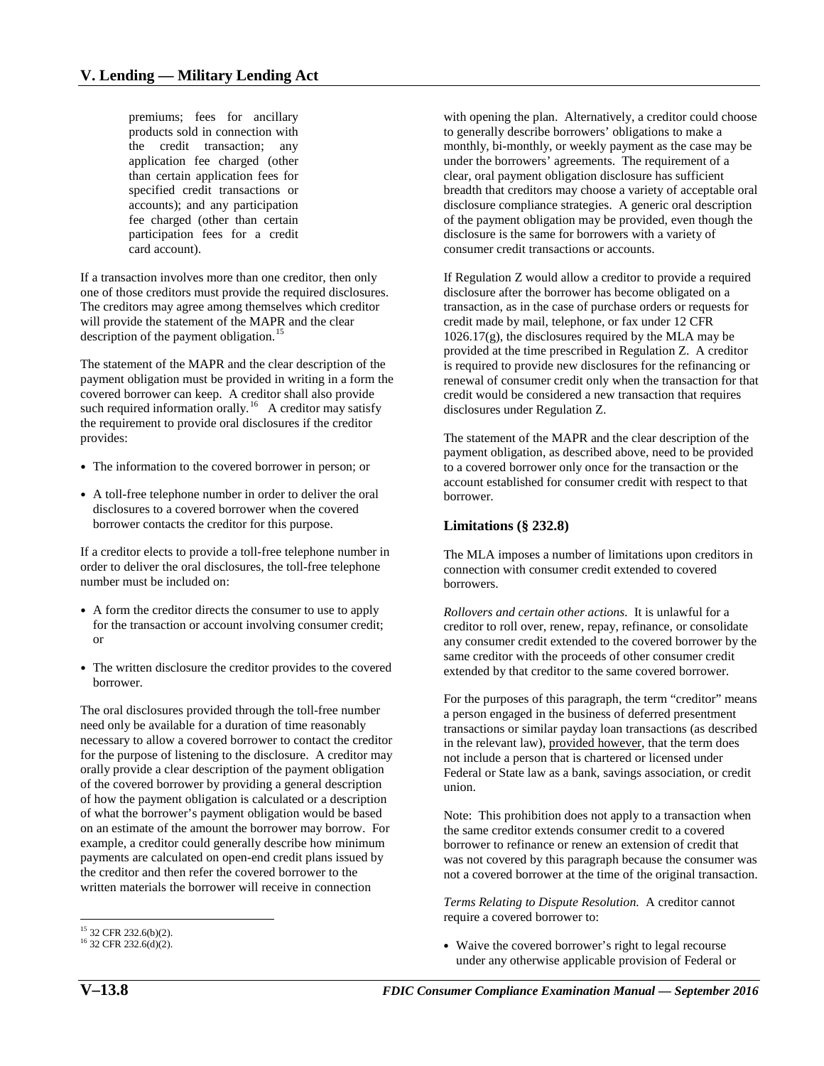application fee charged (other than certain application fees for specified credit transactions or participation fees for a credit premiums; fees for ancillary products sold in connection with the credit transaction; any accounts); and any participation fee charged (other than certain card account).

one of those creditors must provide the required disclosures. description of the payment obligation.<sup>[15](#page-7-0)</sup> If a transaction involves more than one creditor, then only The creditors may agree among themselves which creditor will provide the statement of the MAPR and the clear

 payment obligation must be provided in writing in a form the covered borrower can keep. A creditor shall also provide such required information orally.<sup>16</sup> A creditor may satisfy The statement of the MAPR and the clear description of the the requirement to provide oral disclosures if the creditor provides:

- The information to the covered borrower in person; or
- A toll-free telephone number in order to deliver the oral disclosures to a covered borrower when the covered borrower contacts the creditor for this purpose.

If a creditor elects to provide a toll-free telephone number in order to deliver the oral disclosures, the toll-free telephone number must be included on:

- A form the creditor directs the consumer to use to apply for the transaction or account involving consumer credit; or
- The written disclosure the creditor provides to the covered borrower.

 for the purpose of listening to the disclosure. A creditor may on an estimate of the amount the borrower may borrow. For The oral disclosures provided through the toll-free number need only be available for a duration of time reasonably necessary to allow a covered borrower to contact the creditor orally provide a clear description of the payment obligation of the covered borrower by providing a general description of how the payment obligation is calculated or a description of what the borrower's payment obligation would be based example, a creditor could generally describe how minimum payments are calculated on open-end credit plans issued by the creditor and then refer the covered borrower to the written materials the borrower will receive in connection

 **Limitations (§ 232.8)**  to a covered borrower only once for the transaction or the account established for consumer credit with respect to that borrower.

 borrowers. The MLA imposes a number of limitations upon creditors in connection with consumer credit extended to covered

payment obligation, as described above, need to be provided

The statement of the MAPR and the clear description of the

renewal of consumer credit only when the transaction for that credit would be considered a new transaction that requires

clear, oral payment obligation disclosure has sufficient

with opening the plan. Alternatively, a creditor could choose to generally describe borrowers' obligations to make a monthly, bi-monthly, or weekly payment as the case may be under the borrowers' agreements. The requirement of a

breadth that creditors may choose a variety of acceptable oral disclosure compliance strategies. A generic oral description of the payment obligation may be provided, even though the disclosure is the same for borrowers with a variety of

If Regulation Z would allow a creditor to provide a required disclosure after the borrower has become obligated on a transaction, as in the case of purchase orders or requests for credit made by mail, telephone, or fax under 12 CFR

 1026.17(g), the disclosures required by the MLA may be provided at the time prescribed in Regulation Z. A creditor is required to provide new disclosures for the refinancing or

consumer credit transactions or accounts.

disclosures under Regulation Z.

 *Rollovers and certain other actions.* It is unlawful for a extended by that creditor to the same covered borrower. creditor to roll over, renew, repay, refinance, or consolidate any consumer credit extended to the covered borrower by the same creditor with the proceeds of other consumer credit

 Federal or State law as a bank, savings association, or credit For the purposes of this paragraph, the term "creditor" means a person engaged in the business of deferred presentment transactions or similar payday loan transactions (as described in the relevant law), provided however, that the term does not include a person that is chartered or licensed under union.

 Note: This prohibition does not apply to a transaction when not a covered borrower at the time of the original transaction. the same creditor extends consumer credit to a covered borrower to refinance or renew an extension of credit that was not covered by this paragraph because the consumer was

 *Terms Relating to Dispute Resolution.* A creditor cannot require a covered borrower to:

• Waive the covered borrower's right to legal recourse under any otherwise applicable provision of Federal or

<span id="page-7-0"></span> $^{15}$  32 CFR 232.6(b)(2).

<span id="page-7-1"></span><sup>&</sup>lt;sup>16</sup> 32 CFR 232.6(d)(2).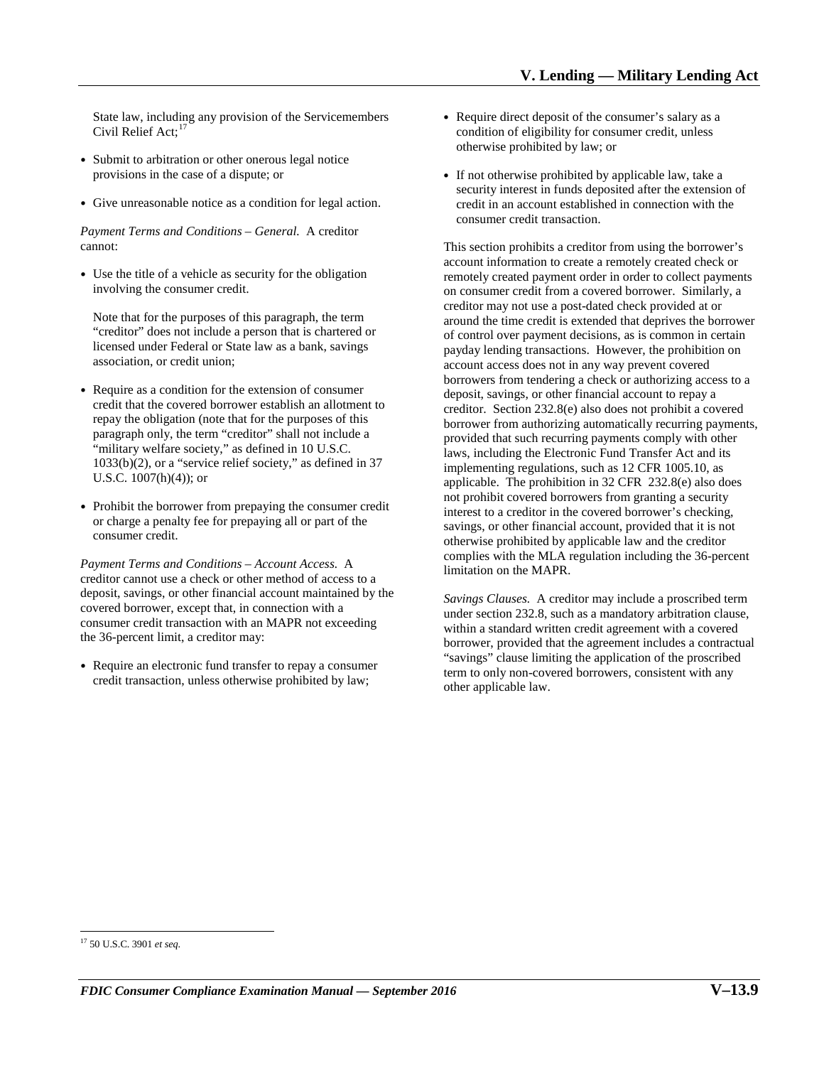State law, including any provision of the Servicemembers Civil Relief Act;<sup>17</sup>

- Submit to arbitration or other onerous legal notice provisions in the case of a dispute; or
- Give unreasonable notice as a condition for legal action.

 *Payment Terms and Conditions – General.* A creditor cannot:

• Use the title of a vehicle as security for the obligation involving the consumer credit.

 association, or credit union; Note that for the purposes of this paragraph, the term "creditor" does not include a person that is chartered or licensed under Federal or State law as a bank, savings

- repay the obligation (note that for the purposes of this "military welfare society," as defined in 10 U.S.C. U.S.C. 1007(h)(4)); or • Require as a condition for the extension of consumer credit that the covered borrower establish an allotment to paragraph only, the term "creditor" shall not include a 1033(b)(2), or a "service relief society," as defined in 37
- Prohibit the borrower from prepaying the consumer credit or charge a penalty fee for prepaying all or part of the consumer credit.

 *Payment Terms and Conditions – Account Access.* A creditor cannot use a check or other method of access to a deposit, savings, or other financial account maintained by the covered borrower, except that, in connection with a consumer credit transaction with an MAPR not exceeding the 36-percent limit, a creditor may:

• Require an electronic fund transfer to repay a consumer credit transaction, unless otherwise prohibited by law;

- Require direct deposit of the consumer's salary as a condition of eligibility for consumer credit, unless otherwise prohibited by law; or
- If not otherwise prohibited by applicable law, take a security interest in funds deposited after the extension of credit in an account established in connection with the consumer credit transaction.

 account access does not in any way prevent covered applicable. The prohibition in 32 CFR 232.8(e) also does savings, or other financial account, provided that it is not This section prohibits a creditor from using the borrower's account information to create a remotely created check or remotely created payment order in order to collect payments on consumer credit from a covered borrower. Similarly, a creditor may not use a post-dated check provided at or around the time credit is extended that deprives the borrower of control over payment decisions, as is common in certain payday lending transactions. However, the prohibition on borrowers from tendering a check or authorizing access to a deposit, savings, or other financial account to repay a creditor. Section 232.8(e) also does not prohibit a covered borrower from authorizing automatically recurring payments, provided that such recurring payments comply with other laws, including the Electronic Fund Transfer Act and its implementing regulations, such as 12 CFR 1005.10, as not prohibit covered borrowers from granting a security interest to a creditor in the covered borrower's checking, otherwise prohibited by applicable law and the creditor complies with the MLA regulation including the 36-percent limitation on the MAPR.

 *Savings Clauses.* A creditor may include a proscribed term under section 232.8, such as a mandatory arbitration clause, within a standard written credit agreement with a covered borrower, provided that the agreement includes a contractual "savings" clause limiting the application of the proscribed term to only non-covered borrowers, consistent with any other applicable law.

<span id="page-8-0"></span> $\overline{a}$ 17 50 U.S.C. 3901 *et seq*.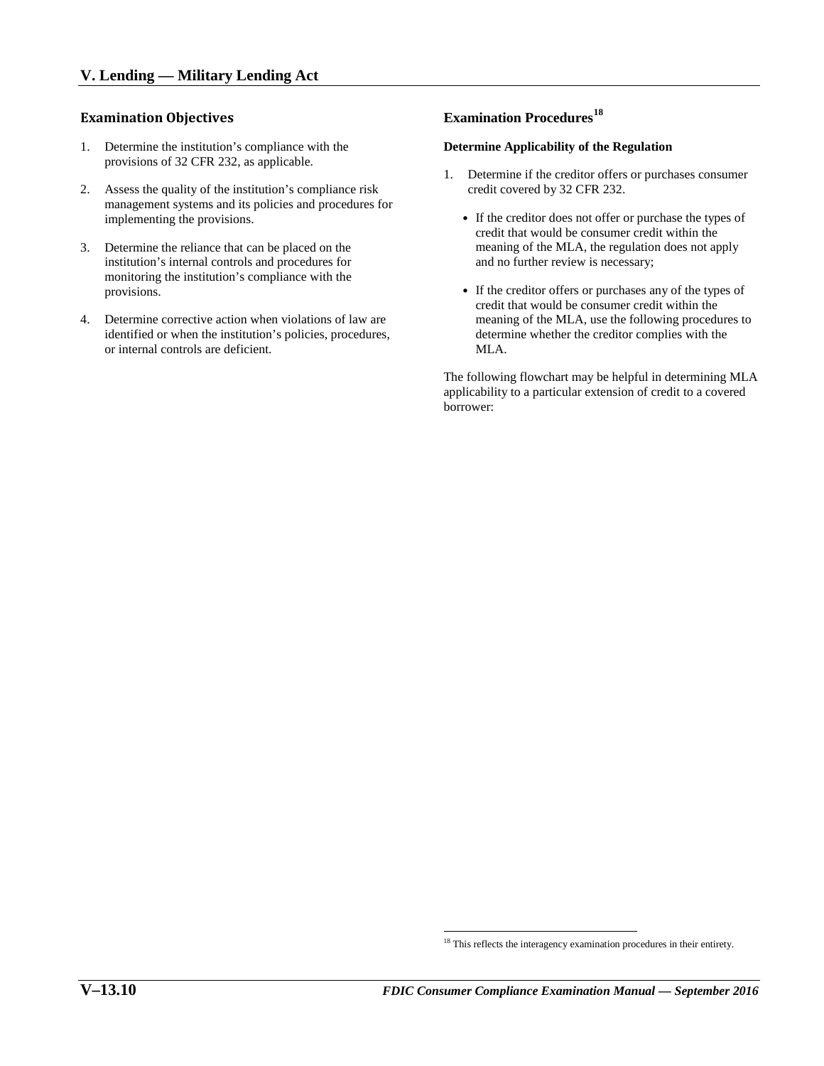# **Examination Objectives**

- 1. Determine the institution's compliance with the provisions of 32 CFR 232, as applicable.
- 2. Assess the quality of the institution's compliance risk management systems and its policies and procedures for implementing the provisions.
- 3. Determine the reliance that can be placed on the institution's internal controls and procedures for monitoring the institution's compliance with the provisions.
- 4. Determine corrective action when violations of law are identified or when the institution's policies, procedures, or internal controls are deficient.

# **Examination Procedures[18](#page-9-0)**

### **Determine Applicability of the Regulation**

- 1. Determine if the creditor offers or purchases consumer credit covered by 32 CFR 232.
	- • If the creditor does not offer or purchase the types of credit that would be consumer credit within the meaning of the MLA, the regulation does not apply and no further review is necessary;
	- If the creditor offers or purchases any of the types of credit that would be consumer credit within the meaning of the MLA, use the following procedures to determine whether the creditor complies with the MLA.

The following flowchart may be helpful in determining MLA applicability to a particular extension of credit to a covered borrower:

<span id="page-9-0"></span> $\overline{a}$ <sup>18</sup> This reflects the interagency examination procedures in their entirety.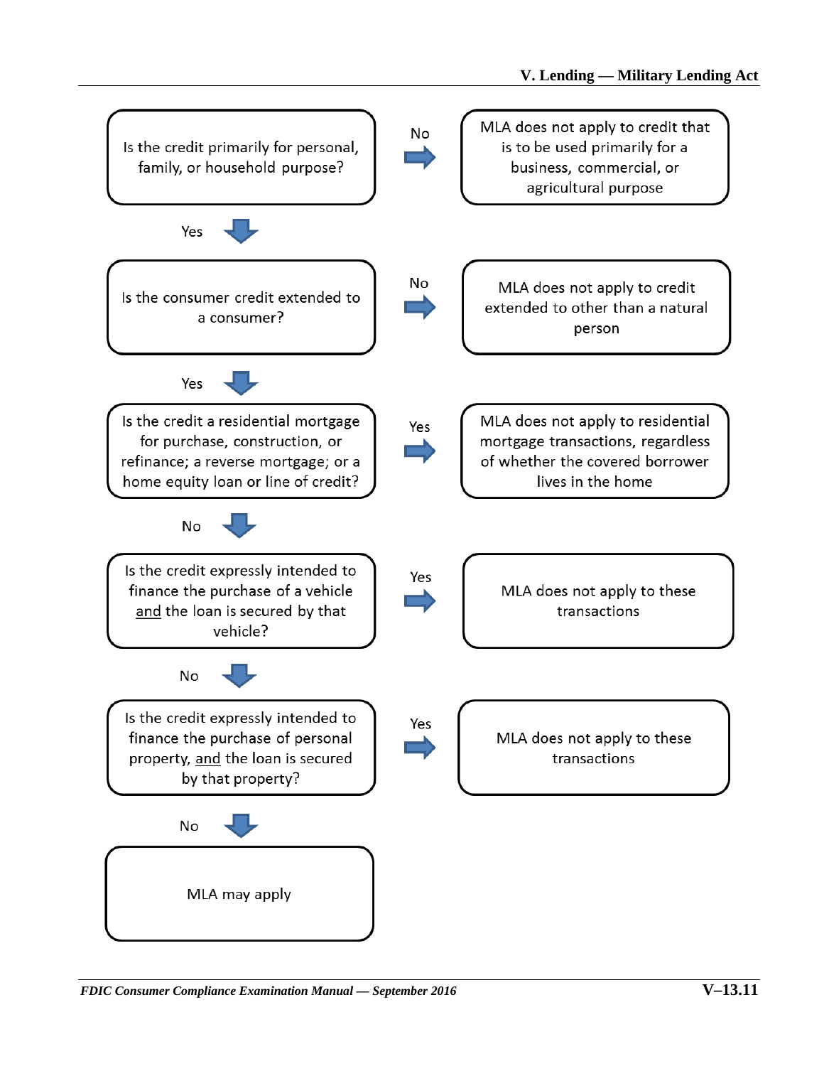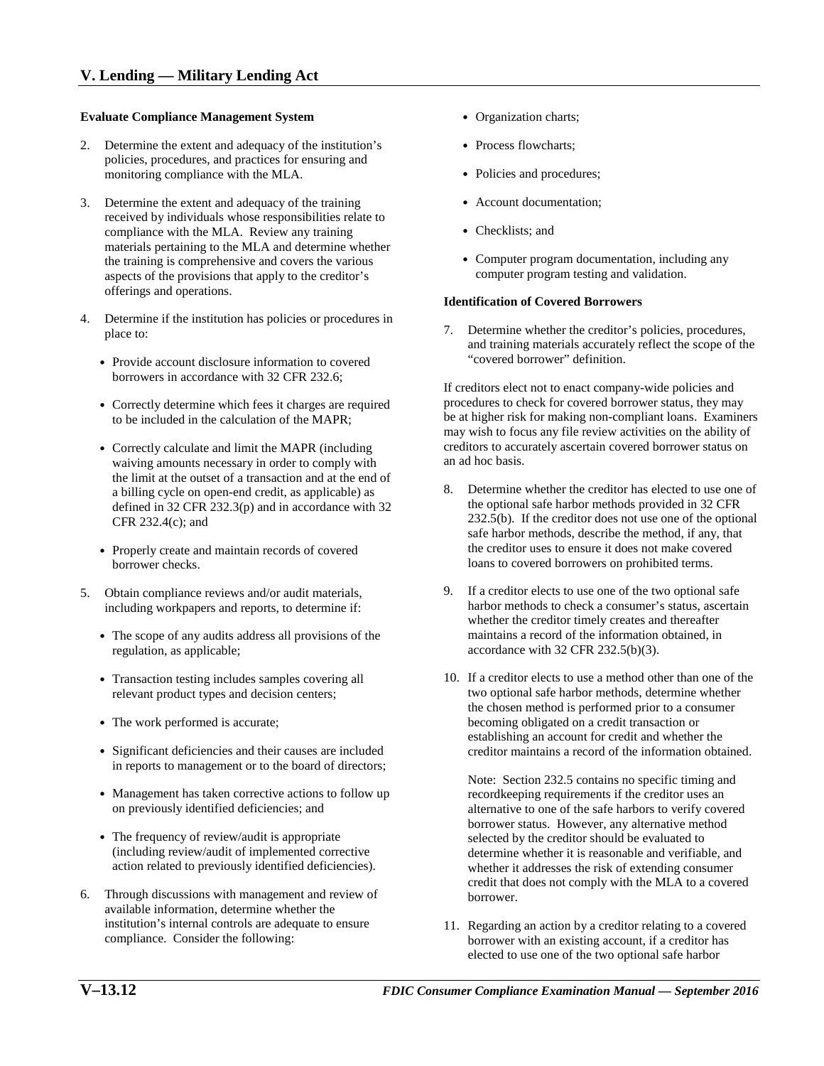#### **Evaluate Compliance Management System •** Organization charts;

- 2. Determine the extent and adequacy of the institution's policies, procedures, and practices for ensuring and monitoring compliance with the MLA.
- 3. Determine the extent and adequacy of the training received by individuals whose responsibilities relate to compliance with the MLA. Review any training materials pertaining to the MLA and determine whether the training is comprehensive and covers the various aspects of the provisions that apply to the creditor's offerings and operations.
- 4. Determine if the institution has policies or procedures in place to:
	- Provide account disclosure information to covered borrowers in accordance with 32 CFR 232.6;
	- Correctly determine which fees it charges are required to be included in the calculation of the MAPR;
	- • Correctly calculate and limit the MAPR (including waiving amounts necessary in order to comply with the limit at the outset of a transaction and at the end of a billing cycle on open-end credit, as applicable) as defined in 32 CFR 232.3(p) and in accordance with 32 CFR 232.4(c); and
	- Properly create and maintain records of covered borrower checks.
- 5. Obtain compliance reviews and/or audit materials, including workpapers and reports, to determine if:
	- The scope of any audits address all provisions of the regulation, as applicable;
	- Transaction testing includes samples covering all relevant product types and decision centers;
	- The work performed is accurate;
	- Significant deficiencies and their causes are included in reports to management or to the board of directors;
	- • Management has taken corrective actions to follow up on previously identified deficiencies; and
	- The frequency of review/audit is appropriate (including review/audit of implemented corrective action related to previously identified deficiencies).
- 6. Through discussions with management and review of available information, determine whether the institution's internal controls are adequate to ensure compliance. Consider the following:
- 
- Process flowcharts:
- Policies and procedures;
- Account documentation;
- Checklists; and
- computer program testing and validation. • Computer program documentation, including any

### **Identification of Covered Borrowers**

"covered borrower" definition. 7. Determine whether the creditor's policies, procedures, and training materials accurately reflect the scope of the

If creditors elect not to enact company-wide policies and procedures to check for covered borrower status, they may be at higher risk for making non-compliant loans. Examiners may wish to focus any file review activities on the ability of creditors to accurately ascertain covered borrower status on an ad hoc basis.

- 8. Determine whether the creditor has elected to use one of 232.5(b). If the creditor does not use one of the optional the optional safe harbor methods provided in 32 CFR safe harbor methods, describe the method, if any, that the creditor uses to ensure it does not make covered loans to covered borrowers on prohibited terms.
- 9. If a creditor elects to use one of the two optional safe harbor methods to check a consumer's status, ascertain whether the creditor timely creates and thereafter maintains a record of the information obtained, in accordance with 32 CFR 232.5(b)(3).
- 10. If a creditor elects to use a method other than one of the two optional safe harbor methods, determine whether the chosen method is performed prior to a consumer becoming obligated on a credit transaction or establishing an account for credit and whether the creditor maintains a record of the information obtained.

borrower. Note: Section 232.5 contains no specific timing and recordkeeping requirements if the creditor uses an alternative to one of the safe harbors to verify covered borrower status. However, any alternative method selected by the creditor should be evaluated to determine whether it is reasonable and verifiable, and whether it addresses the risk of extending consumer credit that does not comply with the MLA to a covered

 borrower with an existing account, if a creditor has elected to use one of the two optional safe harbor 11. Regarding an action by a creditor relating to a covered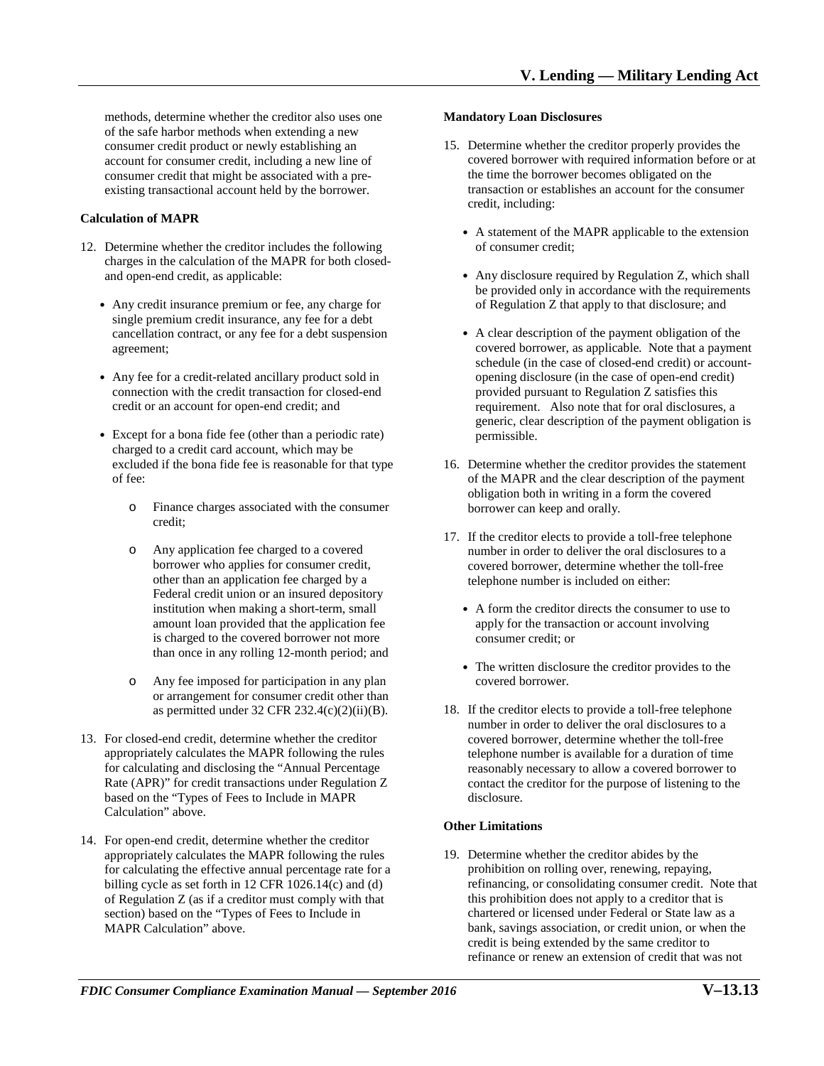methods, determine whether the creditor also uses one of the safe harbor methods when extending a new consumer credit product or newly establishing an account for consumer credit, including a new line of consumer credit that might be associated with a preexisting transactional account held by the borrower.

# **Calculation of MAPR**

- 12. Determine whether the creditor includes the following charges in the calculation of the MAPR for both closedand open-end credit, as applicable:
	- Any credit insurance premium or fee, any charge for single premium credit insurance, any fee for a debt cancellation contract, or any fee for a debt suspension agreement;
	- Any fee for a credit-related ancillary product sold in connection with the credit transaction for closed-end credit or an account for open-end credit; and
	- Except for a bona fide fee (other than a periodic rate) charged to a credit card account, which may be excluded if the bona fide fee is reasonable for that type of fee:
		- o Finance charges associated with the consumer credit;
		- o Any application fee charged to a covered borrower who applies for consumer credit, other than an application fee charged by a Federal credit union or an insured depository institution when making a short-term, small amount loan provided that the application fee is charged to the covered borrower not more than once in any rolling 12-month period; and
		- o Any fee imposed for participation in any plan or arrangement for consumer credit other than as permitted under 32 CFR 232.4(c)(2)(ii)(B).
- based on the "Types of Fees to Include in MAPR Calculation" above. 13. For closed-end credit, determine whether the creditor appropriately calculates the MAPR following the rules for calculating and disclosing the "Annual Percentage Rate (APR)" for credit transactions under Regulation Z
- 14. For open-end credit, determine whether the creditor appropriately calculates the MAPR following the rules for calculating the effective annual percentage rate for a billing cycle as set forth in 12 CFR 1026.14(c) and (d) of Regulation Z (as if a creditor must comply with that section) based on the "Types of Fees to Include in MAPR Calculation" above.

#### **Mandatory Loan Disclosures**

- 15. Determine whether the creditor properly provides the covered borrower with required information before or at the time the borrower becomes obligated on the transaction or establishes an account for the consumer credit, including:
	- A statement of the MAPR applicable to the extension of consumer credit;
	- Any disclosure required by Regulation Z, which shall be provided only in accordance with the requirements of Regulation Z that apply to that disclosure; and
	- opening disclosure (in the case of open-end credit) requirement. Also note that for oral disclosures, a • A clear description of the payment obligation of the covered borrower, as applicable. Note that a payment schedule (in the case of closed-end credit) or accountprovided pursuant to Regulation Z satisfies this generic, clear description of the payment obligation is permissible.
- 16. Determine whether the creditor provides the statement of the MAPR and the clear description of the payment obligation both in writing in a form the covered borrower can keep and orally.
- 17. If the creditor elects to provide a toll-free telephone number in order to deliver the oral disclosures to a covered borrower, determine whether the toll-free telephone number is included on either:
	- A form the creditor directs the consumer to use to apply for the transaction or account involving consumer credit; or
	- The written disclosure the creditor provides to the covered borrower.
- 18. If the creditor elects to provide a toll-free telephone number in order to deliver the oral disclosures to a covered borrower, determine whether the toll-free telephone number is available for a duration of time reasonably necessary to allow a covered borrower to contact the creditor for the purpose of listening to the disclosure.

#### **Other Limitations**

 refinancing, or consolidating consumer credit. Note that 19. Determine whether the creditor abides by the prohibition on rolling over, renewing, repaying, this prohibition does not apply to a creditor that is chartered or licensed under Federal or State law as a bank, savings association, or credit union, or when the credit is being extended by the same creditor to refinance or renew an extension of credit that was not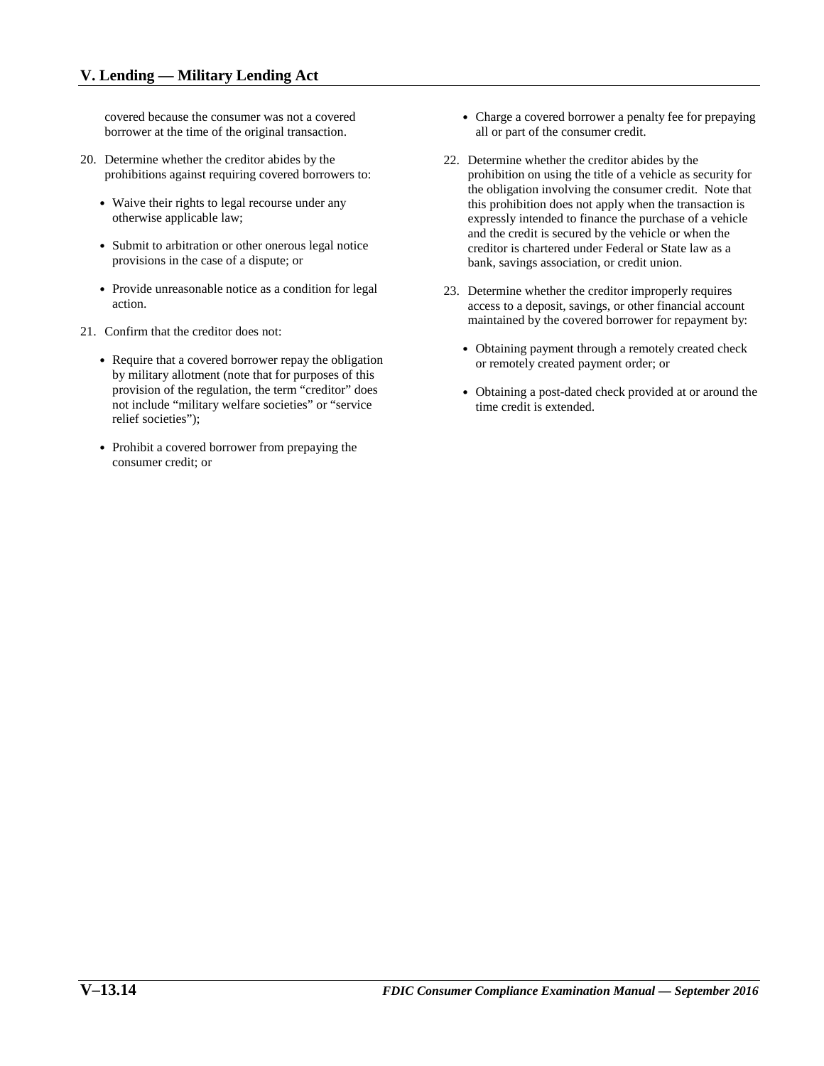covered because the consumer was not a covered borrower at the time of the original transaction.

- prohibitions against requiring covered borrowers to: 20. Determine whether the creditor abides by the
	- otherwise applicable law; • Waive their rights to legal recourse under any
	- Submit to arbitration or other onerous legal notice provisions in the case of a dispute; or
	- • Provide unreasonable notice as a condition for legal action.
- 21. Confirm that the creditor does not:
	- Require that a covered borrower repay the obligation by military allotment (note that for purposes of this provision of the regulation, the term "creditor" does not include "military welfare societies" or "service relief societies");
	- consumer credit; or • Prohibit a covered borrower from prepaying the
- Charge a covered borrower a penalty fee for prepaying all or part of the consumer credit.
- prohibition on using the title of a vehicle as security for 22. Determine whether the creditor abides by the the obligation involving the consumer credit. Note that this prohibition does not apply when the transaction is expressly intended to finance the purchase of a vehicle and the credit is secured by the vehicle or when the creditor is chartered under Federal or State law as a bank, savings association, or credit union.
- access to a deposit, savings, or other financial account maintained by the covered borrower for repayment by: 23. Determine whether the creditor improperly requires
	- Obtaining payment through a remotely created check or remotely created payment order; or
	- Obtaining a post-dated check provided at or around the time credit is extended.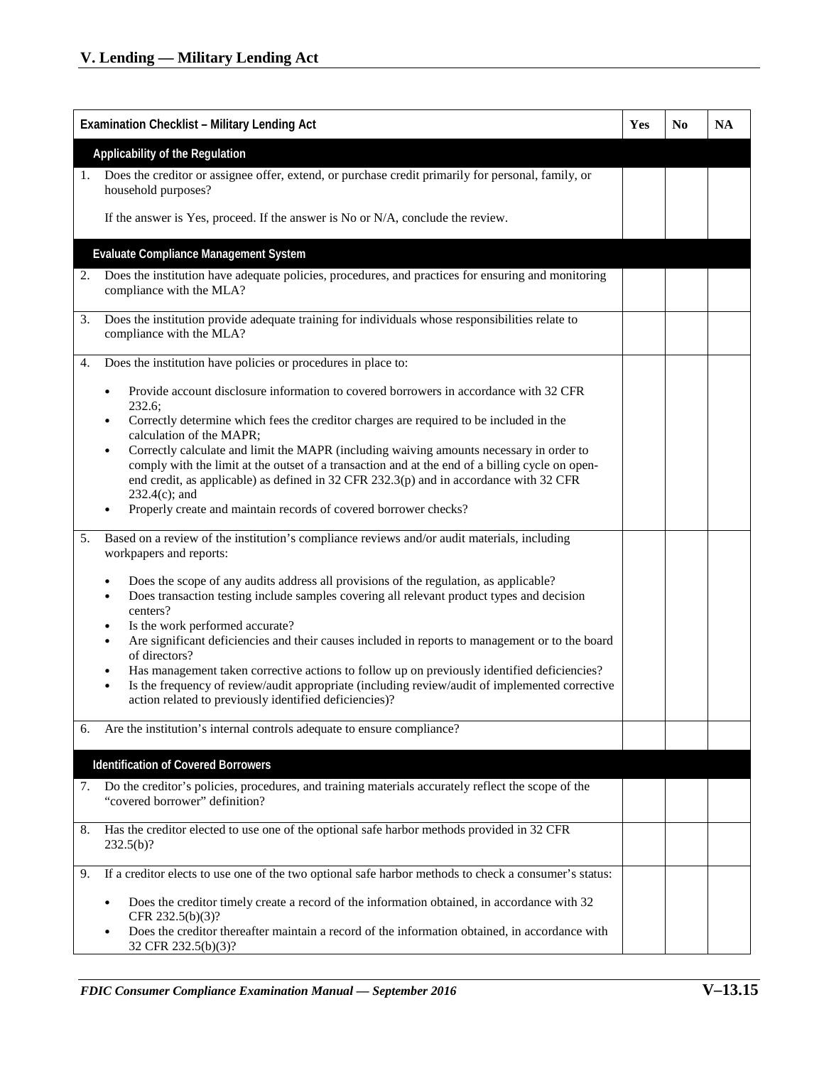| <b>Examination Checklist - Military Lending Act</b> |                                                                                                                                                                                                                                                                                                               | <b>Yes</b> | N0 | <b>NA</b> |
|-----------------------------------------------------|---------------------------------------------------------------------------------------------------------------------------------------------------------------------------------------------------------------------------------------------------------------------------------------------------------------|------------|----|-----------|
| Applicability of the Regulation                     |                                                                                                                                                                                                                                                                                                               |            |    |           |
| 1.                                                  | Does the creditor or assignee offer, extend, or purchase credit primarily for personal, family, or                                                                                                                                                                                                            |            |    |           |
|                                                     | household purposes?                                                                                                                                                                                                                                                                                           |            |    |           |
|                                                     | If the answer is Yes, proceed. If the answer is No or N/A, conclude the review.                                                                                                                                                                                                                               |            |    |           |
|                                                     | <b>Evaluate Compliance Management System</b>                                                                                                                                                                                                                                                                  |            |    |           |
| 2.                                                  | Does the institution have adequate policies, procedures, and practices for ensuring and monitoring<br>compliance with the MLA?                                                                                                                                                                                |            |    |           |
| 3.                                                  | Does the institution provide adequate training for individuals whose responsibilities relate to<br>compliance with the MLA?                                                                                                                                                                                   |            |    |           |
| 4.                                                  | Does the institution have policies or procedures in place to:                                                                                                                                                                                                                                                 |            |    |           |
|                                                     | Provide account disclosure information to covered borrowers in accordance with 32 CFR<br>232.6;                                                                                                                                                                                                               |            |    |           |
|                                                     | Correctly determine which fees the creditor charges are required to be included in the<br>calculation of the MAPR;                                                                                                                                                                                            |            |    |           |
|                                                     | Correctly calculate and limit the MAPR (including waiving amounts necessary in order to<br>٠<br>comply with the limit at the outset of a transaction and at the end of a billing cycle on open-<br>end credit, as applicable) as defined in 32 CFR 232.3(p) and in accordance with 32 CFR<br>$232.4(c)$ ; and |            |    |           |
|                                                     | Properly create and maintain records of covered borrower checks?                                                                                                                                                                                                                                              |            |    |           |
| 5.                                                  | Based on a review of the institution's compliance reviews and/or audit materials, including<br>workpapers and reports:                                                                                                                                                                                        |            |    |           |
|                                                     | Does the scope of any audits address all provisions of the regulation, as applicable?<br>Does transaction testing include samples covering all relevant product types and decision<br>centers?                                                                                                                |            |    |           |
|                                                     | Is the work performed accurate?<br>$\bullet$<br>Are significant deficiencies and their causes included in reports to management or to the board                                                                                                                                                               |            |    |           |
|                                                     | of directors?                                                                                                                                                                                                                                                                                                 |            |    |           |
|                                                     | Has management taken corrective actions to follow up on previously identified deficiencies?<br>Is the frequency of review/audit appropriate (including review/audit of implemented corrective<br>$\bullet$<br>action related to previously identified deficiencies)?                                          |            |    |           |
| 6.                                                  | Are the institution's internal controls adequate to ensure compliance?                                                                                                                                                                                                                                        |            |    |           |
|                                                     | <b>Identification of Covered Borrowers</b>                                                                                                                                                                                                                                                                    |            |    |           |
| 7.                                                  | Do the creditor's policies, procedures, and training materials accurately reflect the scope of the<br>"covered borrower" definition?                                                                                                                                                                          |            |    |           |
| 8.                                                  | Has the creditor elected to use one of the optional safe harbor methods provided in 32 CFR<br>$232.5(b)$ ?                                                                                                                                                                                                    |            |    |           |
| 9.                                                  | If a creditor elects to use one of the two optional safe harbor methods to check a consumer's status:                                                                                                                                                                                                         |            |    |           |
|                                                     | Does the creditor timely create a record of the information obtained, in accordance with 32<br>$\bullet$<br>CFR 232.5(b)(3)?                                                                                                                                                                                  |            |    |           |
|                                                     | Does the creditor thereafter maintain a record of the information obtained, in accordance with<br>32 CFR 232.5(b)(3)?                                                                                                                                                                                         |            |    |           |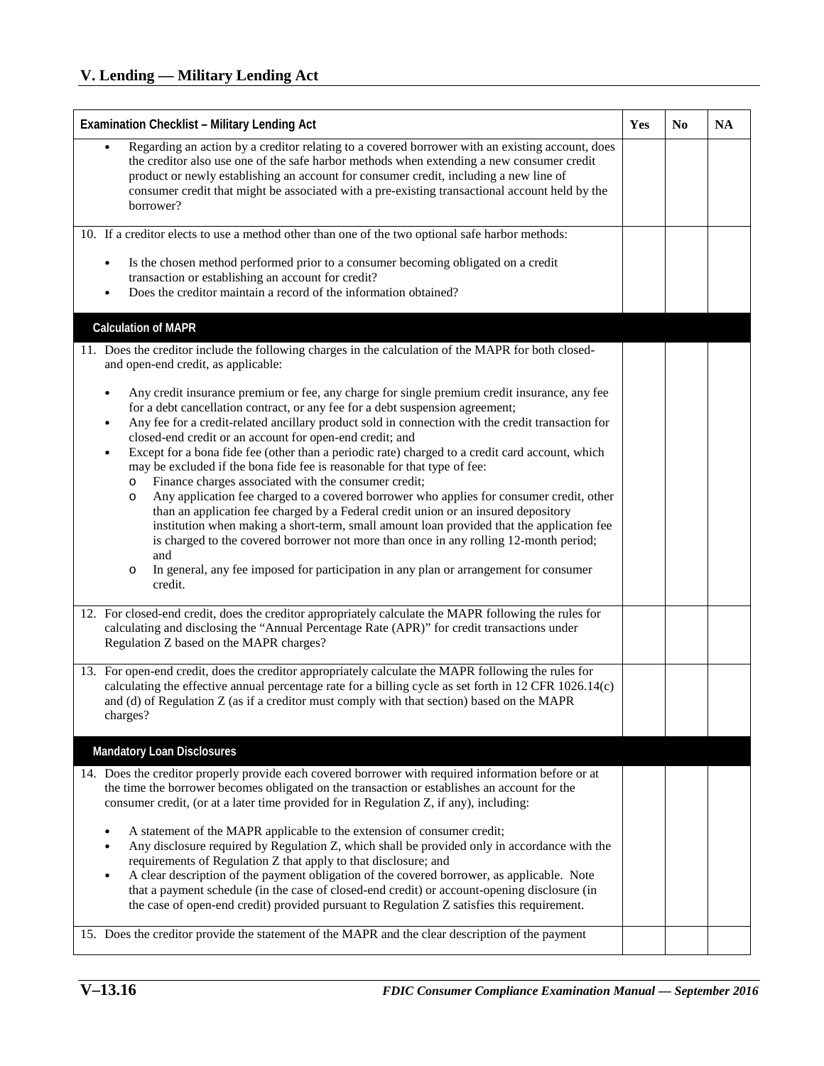| <b>Examination Checklist - Military Lending Act</b>                                                                                                                                                                                                                                                                                                                                                                                                                                                                                                                                                                                                                                                                                                                                                                                                                                                                                                                                                                                                                                                            |  | N <sub>0</sub> | <b>NA</b> |
|----------------------------------------------------------------------------------------------------------------------------------------------------------------------------------------------------------------------------------------------------------------------------------------------------------------------------------------------------------------------------------------------------------------------------------------------------------------------------------------------------------------------------------------------------------------------------------------------------------------------------------------------------------------------------------------------------------------------------------------------------------------------------------------------------------------------------------------------------------------------------------------------------------------------------------------------------------------------------------------------------------------------------------------------------------------------------------------------------------------|--|----------------|-----------|
| Regarding an action by a creditor relating to a covered borrower with an existing account, does<br>the creditor also use one of the safe harbor methods when extending a new consumer credit<br>product or newly establishing an account for consumer credit, including a new line of<br>consumer credit that might be associated with a pre-existing transactional account held by the<br>borrower?                                                                                                                                                                                                                                                                                                                                                                                                                                                                                                                                                                                                                                                                                                           |  |                |           |
| 10. If a creditor elects to use a method other than one of the two optional safe harbor methods:                                                                                                                                                                                                                                                                                                                                                                                                                                                                                                                                                                                                                                                                                                                                                                                                                                                                                                                                                                                                               |  |                |           |
| Is the chosen method performed prior to a consumer becoming obligated on a credit<br>٠<br>transaction or establishing an account for credit?<br>Does the creditor maintain a record of the information obtained?                                                                                                                                                                                                                                                                                                                                                                                                                                                                                                                                                                                                                                                                                                                                                                                                                                                                                               |  |                |           |
| <b>Calculation of MAPR</b>                                                                                                                                                                                                                                                                                                                                                                                                                                                                                                                                                                                                                                                                                                                                                                                                                                                                                                                                                                                                                                                                                     |  |                |           |
| 11. Does the creditor include the following charges in the calculation of the MAPR for both closed-<br>and open-end credit, as applicable:                                                                                                                                                                                                                                                                                                                                                                                                                                                                                                                                                                                                                                                                                                                                                                                                                                                                                                                                                                     |  |                |           |
| Any credit insurance premium or fee, any charge for single premium credit insurance, any fee<br>for a debt cancellation contract, or any fee for a debt suspension agreement;<br>Any fee for a credit-related ancillary product sold in connection with the credit transaction for<br>closed-end credit or an account for open-end credit; and<br>Except for a bona fide fee (other than a periodic rate) charged to a credit card account, which<br>٠<br>may be excluded if the bona fide fee is reasonable for that type of fee:<br>Finance charges associated with the consumer credit;<br>$\circ$<br>Any application fee charged to a covered borrower who applies for consumer credit, other<br>$\circ$<br>than an application fee charged by a Federal credit union or an insured depository<br>institution when making a short-term, small amount loan provided that the application fee<br>is charged to the covered borrower not more than once in any rolling 12-month period;<br>and<br>In general, any fee imposed for participation in any plan or arrangement for consumer<br>$\circ$<br>credit. |  |                |           |
| 12. For closed-end credit, does the creditor appropriately calculate the MAPR following the rules for<br>calculating and disclosing the "Annual Percentage Rate (APR)" for credit transactions under<br>Regulation Z based on the MAPR charges?                                                                                                                                                                                                                                                                                                                                                                                                                                                                                                                                                                                                                                                                                                                                                                                                                                                                |  |                |           |
| 13. For open-end credit, does the creditor appropriately calculate the MAPR following the rules for<br>calculating the effective annual percentage rate for a billing cycle as set forth in 12 CFR 1026.14(c)<br>and (d) of Regulation Z (as if a creditor must comply with that section) based on the MAPR<br>charges?                                                                                                                                                                                                                                                                                                                                                                                                                                                                                                                                                                                                                                                                                                                                                                                        |  |                |           |
| <b>Mandatory Loan Disclosures</b>                                                                                                                                                                                                                                                                                                                                                                                                                                                                                                                                                                                                                                                                                                                                                                                                                                                                                                                                                                                                                                                                              |  |                |           |
| 14. Does the creditor properly provide each covered borrower with required information before or at<br>the time the borrower becomes obligated on the transaction or establishes an account for the<br>consumer credit, (or at a later time provided for in Regulation Z, if any), including:                                                                                                                                                                                                                                                                                                                                                                                                                                                                                                                                                                                                                                                                                                                                                                                                                  |  |                |           |
| A statement of the MAPR applicable to the extension of consumer credit;<br>Any disclosure required by Regulation Z, which shall be provided only in accordance with the<br>$\bullet$<br>requirements of Regulation Z that apply to that disclosure; and<br>A clear description of the payment obligation of the covered borrower, as applicable. Note<br>that a payment schedule (in the case of closed-end credit) or account-opening disclosure (in<br>the case of open-end credit) provided pursuant to Regulation Z satisfies this requirement.                                                                                                                                                                                                                                                                                                                                                                                                                                                                                                                                                            |  |                |           |
| 15. Does the creditor provide the statement of the MAPR and the clear description of the payment                                                                                                                                                                                                                                                                                                                                                                                                                                                                                                                                                                                                                                                                                                                                                                                                                                                                                                                                                                                                               |  |                |           |